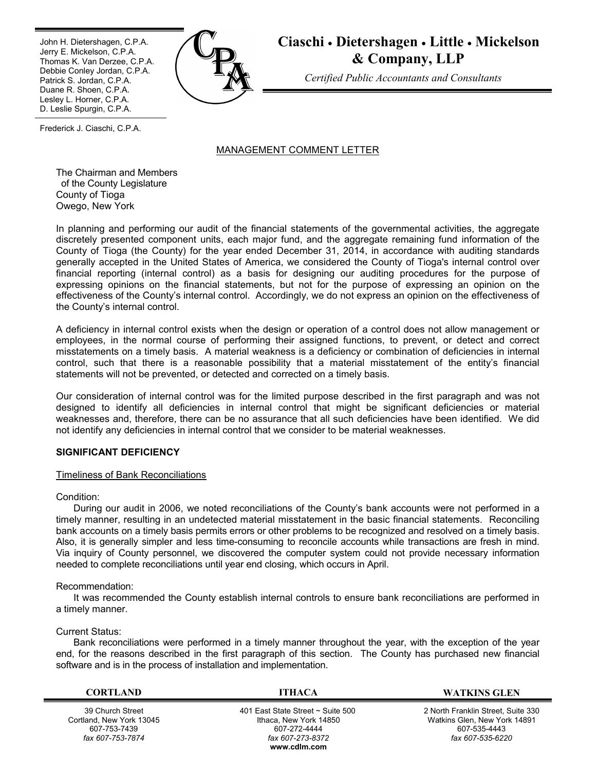Ī John H. Dietershagen, C.P.A. Jerry E. Mickelson, C.P.A. Thomas K. Van Derzee, C.P.A. Debbie Conley Jordan, C.P.A. Patrick S. Jordan, C.P.A. Duane R. Shoen, C.P.A. Lesley L. Horner, C.P.A. D. Leslie Spurgin, C.P.A.



**Ciaschi Dietershagen Little Mickelson & Company, LLP**

*Certified Public Accountants and Consultants*

Frederick J. Ciaschi, C.P.A.

# MANAGEMENT COMMENT LETTER

The Chairman and Members of the County Legislature County of Tioga Owego, New York

In planning and performing our audit of the financial statements of the governmental activities, the aggregate discretely presented component units, each major fund, and the aggregate remaining fund information of the County of Tioga (the County) for the year ended December 31, 2014, in accordance with auditing standards generally accepted in the United States of America, we considered the County of Tioga's internal control over financial reporting (internal control) as a basis for designing our auditing procedures for the purpose of expressing opinions on the financial statements, but not for the purpose of expressing an opinion on the effectiveness of the County's internal control. Accordingly, we do not express an opinion on the effectiveness of the County's internal control.

A deficiency in internal control exists when the design or operation of a control does not allow management or employees, in the normal course of performing their assigned functions, to prevent, or detect and correct misstatements on a timely basis. A material weakness is a deficiency or combination of deficiencies in internal control, such that there is a reasonable possibility that a material misstatement of the entity's financial statements will not be prevented, or detected and corrected on a timely basis.

Our consideration of internal control was for the limited purpose described in the first paragraph and was not designed to identify all deficiencies in internal control that might be significant deficiencies or material weaknesses and, therefore, there can be no assurance that all such deficiencies have been identified. We did not identify any deficiencies in internal control that we consider to be material weaknesses.

# **SIGNIFICANT DEFICIENCY**

# Timeliness of Bank Reconciliations

Condition:

During our audit in 2006, we noted reconciliations of the County's bank accounts were not performed in a timely manner, resulting in an undetected material misstatement in the basic financial statements. Reconciling bank accounts on a timely basis permits errors or other problems to be recognized and resolved on a timely basis. Also, it is generally simpler and less time-consuming to reconcile accounts while transactions are fresh in mind. Via inquiry of County personnel, we discovered the computer system could not provide necessary information needed to complete reconciliations until year end closing, which occurs in April.

# Recommendation:

It was recommended the County establish internal controls to ensure bank reconciliations are performed in a timely manner.

# Current Status:

Bank reconciliations were performed in a timely manner throughout the year, with the exception of the year end, for the reasons described in the first paragraph of this section. The County has purchased new financial software and is in the process of installation and implementation.

39 Church Street Cortland, New York 13045 607-753-7439 *fax 607-753-7874*

**CORTLAND ITHACA WATKINS GLEN**

 401 East State Street ~ Suite 500 Ithaca, New York 14850 607-272-4444 *fax 607-273-8372* **www.cdlm.com**

2 North Franklin Street, Suite 330 Watkins Glen, New York 14891 607-535-4443 *fax 607-535-6220*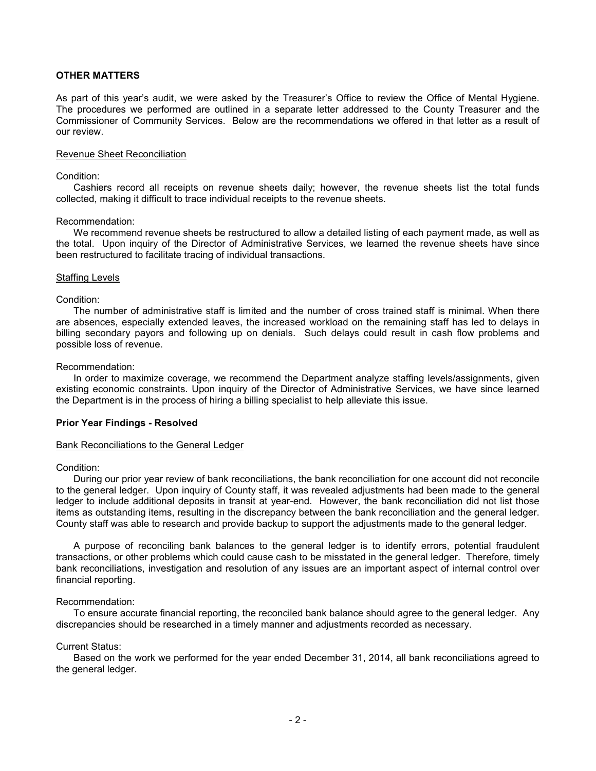# **OTHER MATTERS**

As part of this year's audit, we were asked by the Treasurer's Office to review the Office of Mental Hygiene. The procedures we performed are outlined in a separate letter addressed to the County Treasurer and the Commissioner of Community Services. Below are the recommendations we offered in that letter as a result of our review.

#### Revenue Sheet Reconciliation

# Condition:

Cashiers record all receipts on revenue sheets daily; however, the revenue sheets list the total funds collected, making it difficult to trace individual receipts to the revenue sheets.

#### Recommendation:

We recommend revenue sheets be restructured to allow a detailed listing of each payment made, as well as the total. Upon inquiry of the Director of Administrative Services, we learned the revenue sheets have since been restructured to facilitate tracing of individual transactions.

#### Staffing Levels

### Condition:

The number of administrative staff is limited and the number of cross trained staff is minimal. When there are absences, especially extended leaves, the increased workload on the remaining staff has led to delays in billing secondary payors and following up on denials. Such delays could result in cash flow problems and possible loss of revenue.

#### Recommendation:

In order to maximize coverage, we recommend the Department analyze staffing levels/assignments, given existing economic constraints. Upon inquiry of the Director of Administrative Services, we have since learned the Department is in the process of hiring a billing specialist to help alleviate this issue.

# **Prior Year Findings - Resolved**

#### Bank Reconciliations to the General Ledger

#### Condition:

During our prior year review of bank reconciliations, the bank reconciliation for one account did not reconcile to the general ledger. Upon inquiry of County staff, it was revealed adjustments had been made to the general ledger to include additional deposits in transit at year-end. However, the bank reconciliation did not list those items as outstanding items, resulting in the discrepancy between the bank reconciliation and the general ledger. County staff was able to research and provide backup to support the adjustments made to the general ledger.

A purpose of reconciling bank balances to the general ledger is to identify errors, potential fraudulent transactions, or other problems which could cause cash to be misstated in the general ledger. Therefore, timely bank reconciliations, investigation and resolution of any issues are an important aspect of internal control over financial reporting.

#### Recommendation:

To ensure accurate financial reporting, the reconciled bank balance should agree to the general ledger. Any discrepancies should be researched in a timely manner and adjustments recorded as necessary.

### Current Status:

Based on the work we performed for the year ended December 31, 2014, all bank reconciliations agreed to the general ledger.